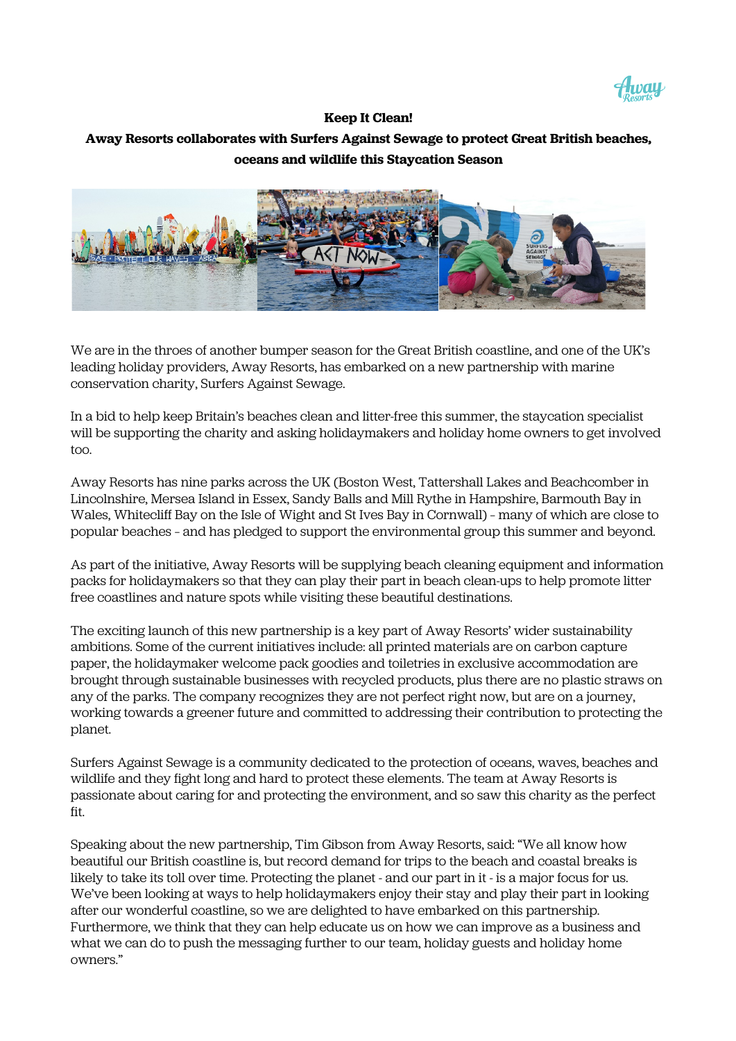## **Keep It Clean!**

## **Away Resorts collaborates with Surfers Against Sewage to protect Great British beaches, oceans and wildlife this Staycation Season**



We are in the throes of another bumper season for the Great British coastline, and one of the UK's leading holiday providers, Away Resorts, has embarked on a new partnership with marine conservation charity, Surfers Against Sewage.

In a bid to help keep Britain's beaches clean and litter-free this summer, the staycation specialist will be supporting the charity and asking holidaymakers and holiday home owners to get involved too.

Away Resorts has nine parks across the UK (Boston West, Tattershall Lakes and Beachcomber in Lincolnshire, Mersea Island in Essex, Sandy Balls and Mill Rythe in Hampshire, Barmouth Bay in Wales, Whitecliff Bay on the Isle of Wight and St Ives Bay in Cornwall) – many of which are close to popular beaches – and has pledged to support the environmental group this summer and beyond.

As part of the initiative, Away Resorts will be supplying beach cleaning equipment and information packs for holidaymakers so that they can play their part in beach clean-ups to help promote litter free coastlines and nature spots while visiting these beautiful destinations.

The exciting launch of this new partnership is a key part of Away Resorts' wider sustainability ambitions. Some of the current initiatives include: all printed materials are on carbon capture paper, the holidaymaker welcome pack goodies and toiletries in exclusive accommodation are brought through sustainable businesses with recycled products, plus there are no plastic straws on any of the parks. The company recognizes they are not perfect right now, but are on a journey, working towards a greener future and committed to addressing their contribution to protecting the planet.

Surfers Against Sewage is a community dedicated to the protection of oceans, waves, beaches and wildlife and they fight long and hard to protect these elements. The team at Away Resorts is passionate about caring for and protecting the environment, and so saw this charity as the perfect fit.

Speaking about the new partnership, Tim Gibson from Away Resorts, said: "We all know how beautiful our British coastline is, but record demand for trips to the beach and coastal breaks is likely to take its toll over time. Protecting the planet - and our part in it - is a major focus for us. We've been looking at ways to help holidaymakers enjoy their stay and play their part in looking after our wonderful coastline, so we are delighted to have embarked on this partnership. Furthermore, we think that they can help educate us on how we can improve as a business and what we can do to push the messaging further to our team, holiday guests and holiday home owners."